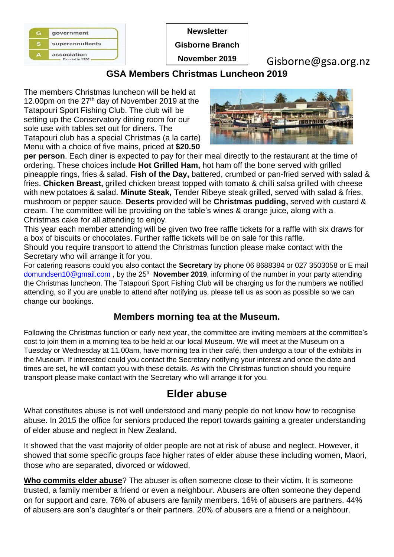| superannuitants |
|-----------------|
| association     |
|                 |

**Newsletter**

**Gisborne Branch**

**November 2019**

Gisborne@gsa.org.nz

## **GSA Members Christmas Luncheon 2019**

The members Christmas luncheon will be held at 12.00pm on the 27<sup>th</sup> day of November 2019 at the Tatapouri Sport Fishing Club. The club will be setting up the Conservatory dining room for our sole use with tables set out for diners. The Tatapouri club has a special Christmas (a la carte) Menu with a choice of five mains, priced at **\$20.50** 



**per person**. Each diner is expected to pay for their meal directly to the restaurant at the time of ordering. These choices include **Hot Grilled Ham,** hot ham off the bone served with grilled pineapple rings, fries & salad. **Fish of the Day,** battered, crumbed or pan-fried served with salad & fries. **Chicken Breast,** grilled chicken breast topped with tomato & chilli salsa grilled with cheese with new potatoes & salad. **Minute Steak,** Tender Ribeye steak grilled, served with salad & fries, mushroom or pepper sauce. **Deserts** provided will be **Christmas pudding,** served with custard & cream. The committee will be providing on the table's wines & orange juice, along with a Christmas cake for all attending to enjoy.

This year each member attending will be given two free raffle tickets for a raffle with six draws for a box of biscuits or chocolates. Further raffle tickets will be on sale for this raffle.

Should you require transport to attend the Christmas function please make contact with the Secretary who will arrange it for you.

For catering reasons could you also contact the **Secretary** by phone 06 8688384 or 027 3503058 or E mail [domundsen10@gmail.com](mailto:domundsen10@gmail.com), by the 25<sup>h</sup> November 2019, informing of the number in your party attending the Christmas luncheon. The Tatapouri Sport Fishing Club will be charging us for the numbers we notified attending, so if you are unable to attend after notifying us, please tell us as soon as possible so we can change our bookings.

## **Members morning tea at the Museum.**

Following the Christmas function or early next year, the committee are inviting members at the committee's cost to join them in a morning tea to be held at our local Museum. We will meet at the Museum on a Tuesday or Wednesday at 11.00am, have morning tea in their café, then undergo a tour of the exhibits in the Museum. If interested could you contact the Secretary notifying your interest and once the date and times are set, he will contact you with these details. As with the Christmas function should you require transport please make contact with the Secretary who will arrange it for you.

# **Elder abuse**

What constitutes abuse is not well understood and many people do not know how to recognise abuse. In 2015 the office for seniors produced the report towards gaining a greater understanding of elder abuse and neglect in New Zealand.

It showed that the vast majority of older people are not at risk of abuse and neglect. However, it showed that some specific groups face higher rates of elder abuse these including women, Maori, those who are separated, divorced or widowed.

**Who commits elder abuse**? The abuser is often someone close to their victim. It is someone trusted, a family member a friend or even a neighbour. Abusers are often someone they depend on for support and care. 76% of abusers are family members. 16% of abusers are partners. 44% of abusers are son's daughter's or their partners. 20% of abusers are a friend or a neighbour.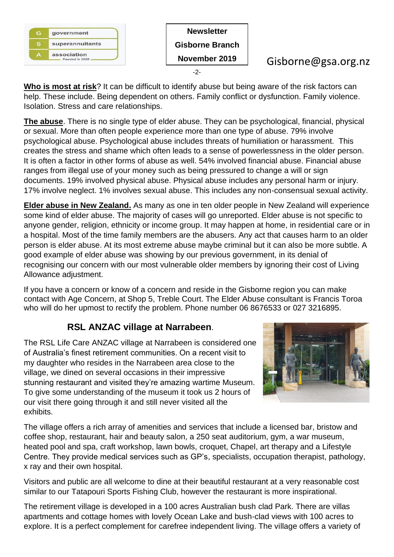

**Who is most at risk**? It can be difficult to identify abuse but being aware of the risk factors can help. These include. Being dependent on others. Family conflict or dysfunction. Family violence. Isolation. Stress and care relationships.

**The abuse**. There is no single type of elder abuse. They can be psychological, financial, physical or sexual. More than often people experience more than one type of abuse. 79% involve psychological abuse. Psychological abuse includes threats of humiliation or harassment. This creates the stress and shame which often leads to a sense of powerlessness in the older person. It is often a factor in other forms of abuse as well. 54% involved financial abuse. Financial abuse ranges from illegal use of your money such as being pressured to change a will or sign documents. 19% involved physical abuse. Physical abuse includes any personal harm or injury. 17% involve neglect. 1% involves sexual abuse. This includes any non-consensual sexual activity.

**Elder abuse in New Zealand.** As many as one in ten older people in New Zealand will experience some kind of elder abuse. The majority of cases will go unreported. Elder abuse is not specific to anyone gender, religion, ethnicity or income group. It may happen at home, in residential care or in a hospital. Most of the time family members are the abusers. Any act that causes harm to an older person is elder abuse. At its most extreme abuse maybe criminal but it can also be more subtle. A good example of elder abuse was showing by our previous government, in its denial of recognising our concern with our most vulnerable older members by ignoring their cost of Living Allowance adjustment.

If you have a concern or know of a concern and reside in the Gisborne region you can make contact with Age Concern, at Shop 5, Treble Court. The Elder Abuse consultant is Francis Toroa who will do her upmost to rectify the problem. Phone number 06 8676533 or 027 3216895.

## **RSL ANZAC village at Narrabeen**.

The RSL Life Care ANZAC village at Narrabeen is considered one of Australia's finest retirement communities. On a recent visit to my daughter who resides in the Narrabeen area close to the village, we dined on several occasions in their impressive stunning restaurant and visited they're amazing wartime Museum. To give some understanding of the museum it took us 2 hours of our visit there going through it and still never visited all the exhibits.



The village offers a rich array of amenities and services that include a licensed bar, bristow and coffee shop, restaurant, hair and beauty salon, a 250 seat auditorium, gym, a war museum, heated pool and spa, craft workshop, lawn bowls, croquet, Chapel, art therapy and a Lifestyle Centre. They provide medical services such as GP's, specialists, occupation therapist, pathology, x ray and their own hospital.

Visitors and public are all welcome to dine at their beautiful restaurant at a very reasonable cost similar to our Tatapouri Sports Fishing Club, however the restaurant is more inspirational.

The retirement village is developed in a 100 acres Australian bush clad Park. There are villas apartments and cottage homes with lovely Ocean Lake and bush-clad views with 100 acres to explore. It is a perfect complement for carefree independent living. The village offers a variety of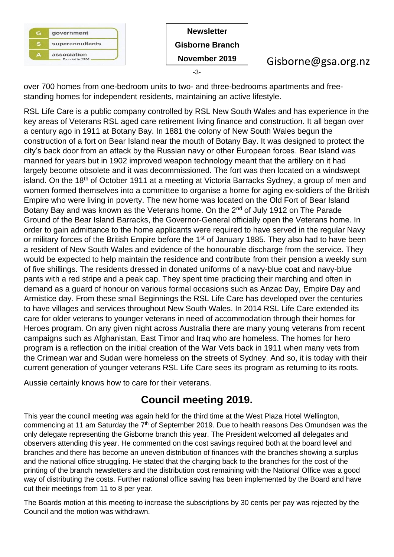

**Newsletter Gisborne Branch November 2019** -3-

# Gisborne@gsa.org.nz

over 700 homes from one-bedroom units to two- and three-bedrooms apartments and freestanding homes for independent residents, maintaining an active lifestyle.

RSL Life Care is a public company controlled by RSL New South Wales and has experience in the key areas of Veterans RSL aged care retirement living finance and construction. It all began over a century ago in 1911 at Botany Bay. In 1881 the colony of New South Wales begun the construction of a fort on Bear Island near the mouth of Botany Bay. It was designed to protect the city's back door from an attack by the Russian navy or other European forces. Bear Island was manned for years but in 1902 improved weapon technology meant that the artillery on it had largely become obsolete and it was decommissioned. The fort was then located on a windswept island. On the 18<sup>th</sup> of October 1911 at a meeting at Victoria Barracks Sydney, a group of men and women formed themselves into a committee to organise a home for aging ex-soldiers of the British Empire who were living in poverty. The new home was located on the Old Fort of Bear Island Botany Bay and was known as the Veterans home. On the 2<sup>nd</sup> of July 1912 on The Parade Ground of the Bear Island Barracks, the Governor-General officially open the Veterans home. In order to gain admittance to the home applicants were required to have served in the regular Navy or military forces of the British Empire before the 1<sup>st</sup> of January 1885. They also had to have been a resident of New South Wales and evidence of the honourable discharge from the service. They would be expected to help maintain the residence and contribute from their pension a weekly sum of five shillings. The residents dressed in donated uniforms of a navy-blue coat and navy-blue pants with a red stripe and a peak cap. They spent time practicing their marching and often in demand as a guard of honour on various formal occasions such as Anzac Day, Empire Day and Armistice day. From these small Beginnings the RSL Life Care has developed over the centuries to have villages and services throughout New South Wales. In 2014 RSL Life Care extended its care for older veterans to younger veterans in need of accommodation through their homes for Heroes program. On any given night across Australia there are many young veterans from recent campaigns such as Afghanistan, East Timor and Iraq who are homeless. The homes for hero program is a reflection on the initial creation of the War Vets back in 1911 when many vets from the Crimean war and Sudan were homeless on the streets of Sydney. And so, it is today with their current generation of younger veterans RSL Life Care sees its program as returning to its roots.

Aussie certainly knows how to care for their veterans.

# **Council meeting 2019.**

This year the council meeting was again held for the third time at the West Plaza Hotel Wellington, commencing at 11 am Saturday the  $7<sup>th</sup>$  of September 2019. Due to health reasons Des Omundsen was the only delegate representing the Gisborne branch this year. The President welcomed all delegates and observers attending this year. He commented on the cost savings required both at the board level and branches and there has become an uneven distribution of finances with the branches showing a surplus and the national office struggling. He stated that the charging back to the branches for the cost of the printing of the branch newsletters and the distribution cost remaining with the National Office was a good way of distributing the costs. Further national office saving has been implemented by the Board and have cut their meetings from 11 to 8 per year.

The Boards motion at this meeting to increase the subscriptions by 30 cents per pay was rejected by the Council and the motion was withdrawn.